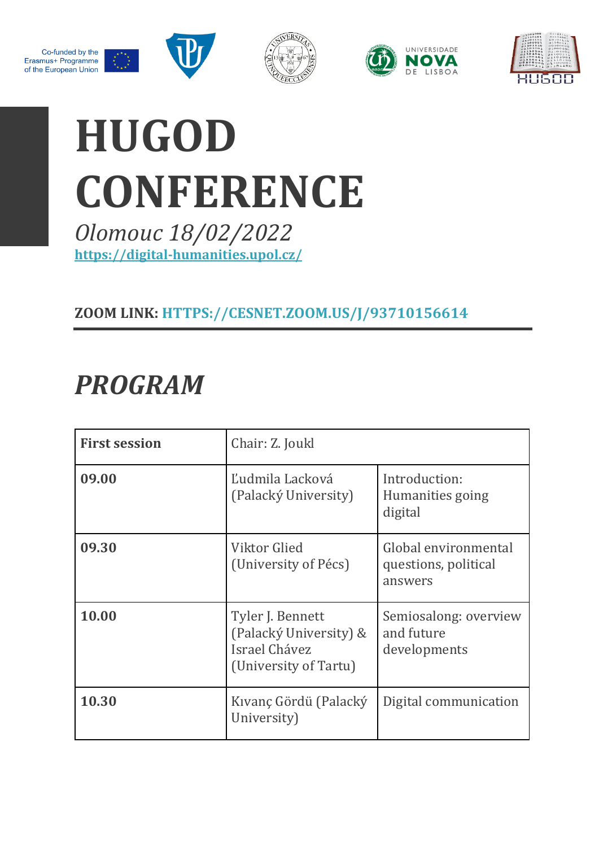









# **HUGOD CONFERENCE**

*Olomouc 18/02/2022* **<https://digital-humanities.upol.cz/>**

#### **ZOOM LINK: [HTTPS://CESNET.ZOOM.US/J/93710156614](https://cesnet.zoom.us/j/93710156614)**

# *PROGRAM*

| <b>First session</b> | Chair: Z. Joukl                                                                      |                                                         |
|----------------------|--------------------------------------------------------------------------------------|---------------------------------------------------------|
| 09.00                | Ľudmila Lacková<br>(Palacký University)                                              | Introduction:<br>Humanities going<br>digital            |
| 09.30                | Viktor Glied<br>(University of Pécs)                                                 | Global environmental<br>questions, political<br>answers |
| 10.00                | Tyler J. Bennett<br>(Palacký University) &<br>Israel Chávez<br>(University of Tartu) | Semiosalong: overview<br>and future<br>developments     |
| 10.30                | Kıvanç Gördü (Palacký<br>University)                                                 | Digital communication                                   |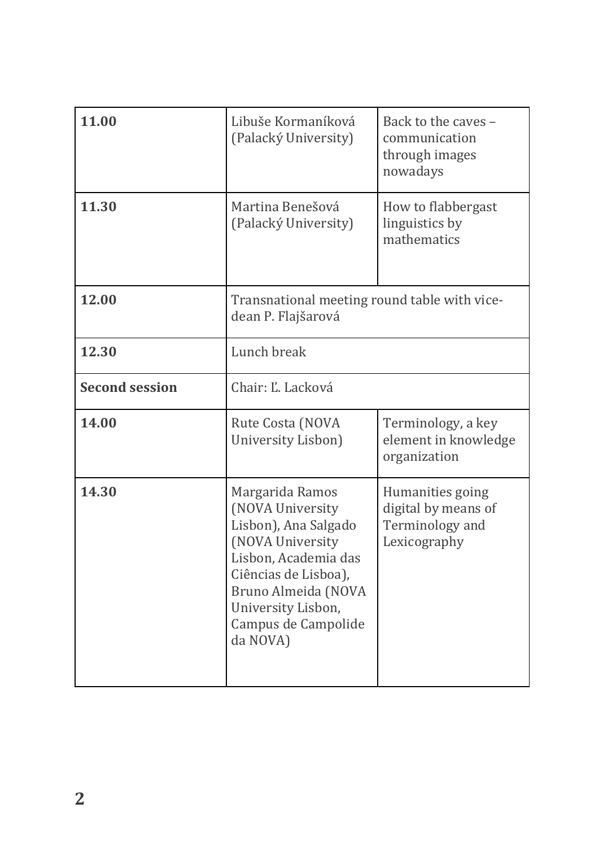| 11.00                 | Libuše Kormaníková<br>(Palacký University)                                                                                                                                                                      | Back to the caves -<br>communication<br>through images<br>nowadays         |
|-----------------------|-----------------------------------------------------------------------------------------------------------------------------------------------------------------------------------------------------------------|----------------------------------------------------------------------------|
| 11.30                 | Martina Benešová<br>(Palacký University)                                                                                                                                                                        | How to flabbergast<br>linguistics by<br>mathematics                        |
| 12.00                 | Transnational meeting round table with vice-<br>dean P. Flajšarová                                                                                                                                              |                                                                            |
| 12.30                 | Lunch break                                                                                                                                                                                                     |                                                                            |
| <b>Second session</b> | Chair: Ľ. Lacková                                                                                                                                                                                               |                                                                            |
| 14.00                 | Rute Costa (NOVA<br>University Lisbon)                                                                                                                                                                          | Terminology, a key<br>element in knowledge<br>organization                 |
| 14.30                 | Margarida Ramos<br>(NOVA University<br>Lisbon), Ana Salgado<br>(NOVA University<br>Lisbon, Academia das<br>Ciências de Lisboa),<br>Bruno Almeida (NOVA<br>University Lisbon,<br>Campus de Campolide<br>da NOVA) | Humanities going<br>digital by means of<br>Terminology and<br>Lexicography |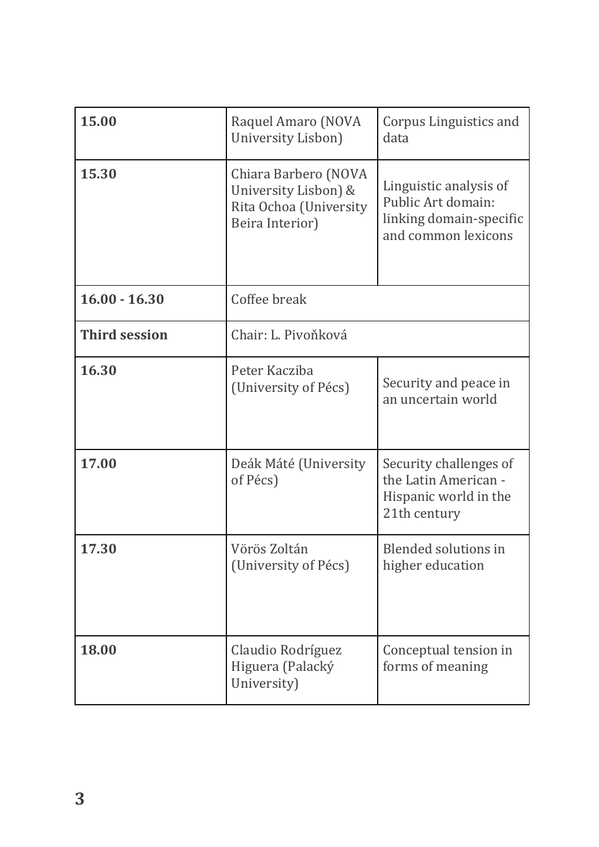| 15.00                | Raquel Amaro (NOVA<br>University Lisbon)                                                  | Corpus Linguistics and<br>data                                                                 |
|----------------------|-------------------------------------------------------------------------------------------|------------------------------------------------------------------------------------------------|
| 15.30                | Chiara Barbero (NOVA<br>University Lisbon) &<br>Rita Ochoa (University<br>Beira Interior) | Linguistic analysis of<br>Public Art domain:<br>linking domain-specific<br>and common lexicons |
| $16.00 - 16.30$      | Coffee break                                                                              |                                                                                                |
| <b>Third session</b> | Chair: L. Pivoňková                                                                       |                                                                                                |
| 16.30                | Peter Kacziba<br>(University of Pécs)                                                     | Security and peace in<br>an uncertain world                                                    |
| 17.00                | Deák Máté (University<br>of Pécs)                                                         | Security challenges of<br>the Latin American -<br>Hispanic world in the<br>21th century        |
| 17.30                | Vörös Zoltán<br>(University of Pécs)                                                      | <b>Blended solutions in</b><br>higher education                                                |
| 18.00                | Claudio Rodríguez<br>Higuera (Palacký<br>University)                                      | Conceptual tension in<br>forms of meaning                                                      |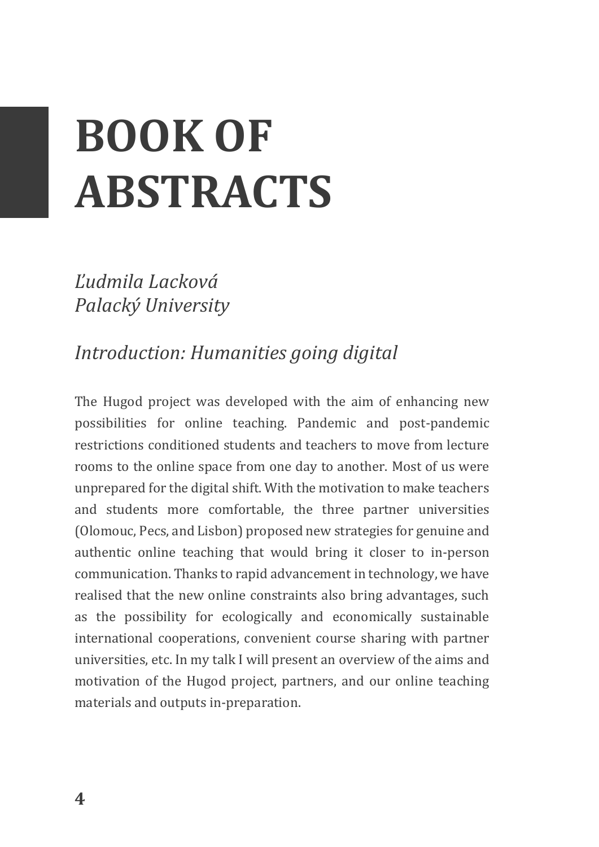# **BOOK OF ABSTRACTS**

*Ľudmila Lacková Palacký University*

# *Introduction: Humanities going digital*

The Hugod project was developed with the aim of enhancing new possibilities for online teaching. Pandemic and post-pandemic restrictions conditioned students and teachers to move from lecture rooms to the online space from one day to another. Most of us were unprepared for the digital shift. With the motivation to make teachers and students more comfortable, the three partner universities (Olomouc, Pecs, and Lisbon) proposed new strategies for genuine and authentic online teaching that would bring it closer to in-person communication. Thanks to rapid advancement in technology, we have realised that the new online constraints also bring advantages, such as the possibility for ecologically and economically sustainable international cooperations, convenient course sharing with partner universities, etc. In my talk I will present an overview of the aims and motivation of the Hugod project, partners, and our online teaching materials and outputs in-preparation.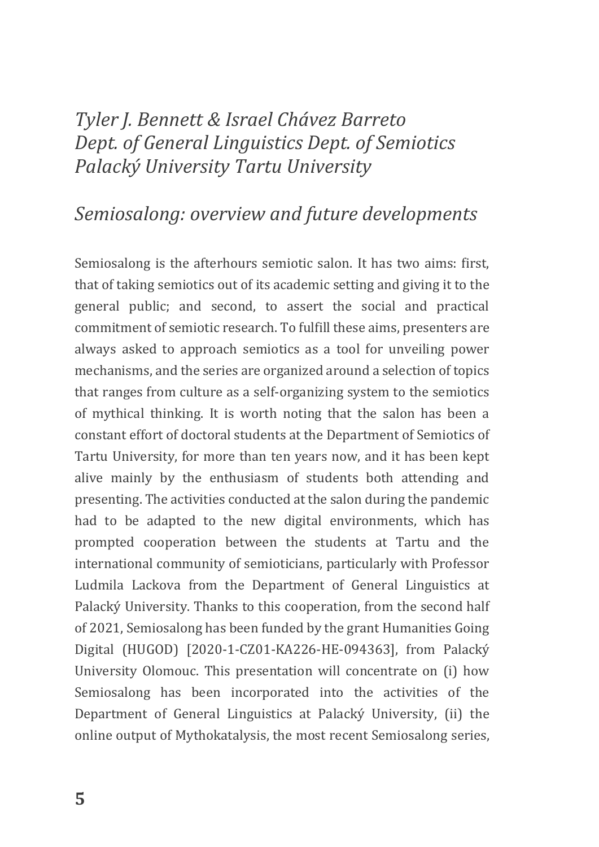# *Tyler J. Bennett & Israel Chávez Barreto Dept. of General Linguistics Dept. of Semiotics Palacký University Tartu University*

### *Semiosalong: overview and future developments*

Semiosalong is the afterhours semiotic salon. It has two aims: first, that of taking semiotics out of its academic setting and giving it to the general public; and second, to assert the social and practical commitment of semiotic research. To fulfill these aims, presenters are always asked to approach semiotics as a tool for unveiling power mechanisms, and the series are organized around a selection of topics that ranges from culture as a self-organizing system to the semiotics of mythical thinking. It is worth noting that the salon has been a constant effort of doctoral students at the Department of Semiotics of Tartu University, for more than ten years now, and it has been kept alive mainly by the enthusiasm of students both attending and presenting. The activities conducted at the salon during the pandemic had to be adapted to the new digital environments, which has prompted cooperation between the students at Tartu and the international community of semioticians, particularly with Professor Ludmila Lackova from the Department of General Linguistics at Palacký University. Thanks to this cooperation, from the second half of 2021, Semiosalong has been funded by the grant Humanities Going Digital (HUGOD) [2020-1-CZ01-KA226-HE-094363], from Palacký University Olomouc. This presentation will concentrate on (i) how Semiosalong has been incorporated into the activities of the Department of General Linguistics at Palacký University, (ii) the online output of Mythokatalysis, the most recent Semiosalong series,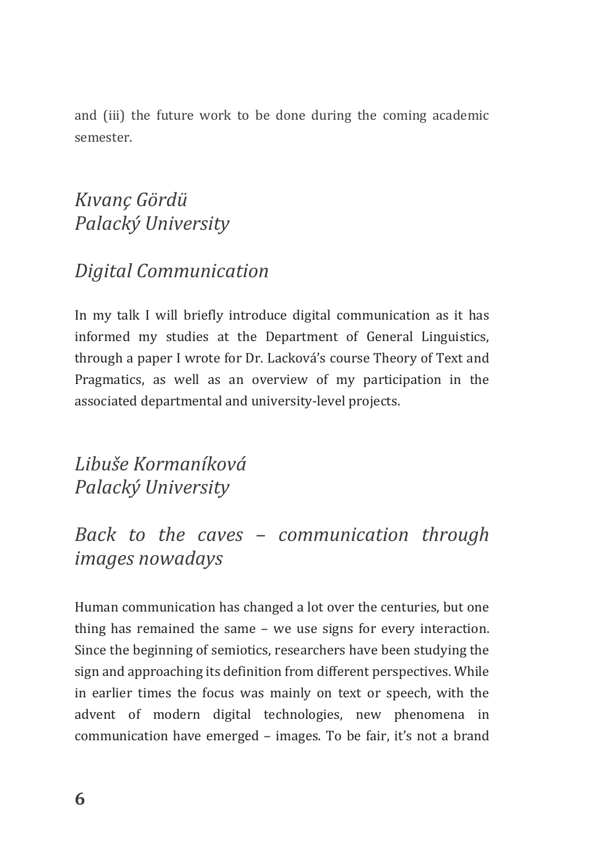and (iii) the future work to be done during the coming academic semester.

# *Kıvanç Gördü Palacký University*

# *Digital Communication*

In my talk I will briefly introduce digital communication as it has informed my studies at the Department of General Linguistics, through a paper I wrote for Dr. Lacková's course Theory of Text and Pragmatics, as well as an overview of my participation in the associated departmental and university-level projects.

*Libuše Kormaníková Palacký University*

# *Back to the caves – communication through images nowadays*

Human communication has changed a lot over the centuries, but one thing has remained the same – we use signs for every interaction. Since the beginning of semiotics, researchers have been studying the sign and approaching its definition from different perspectives. While in earlier times the focus was mainly on text or speech, with the advent of modern digital technologies, new phenomena in communication have emerged – images. To be fair, it's not a brand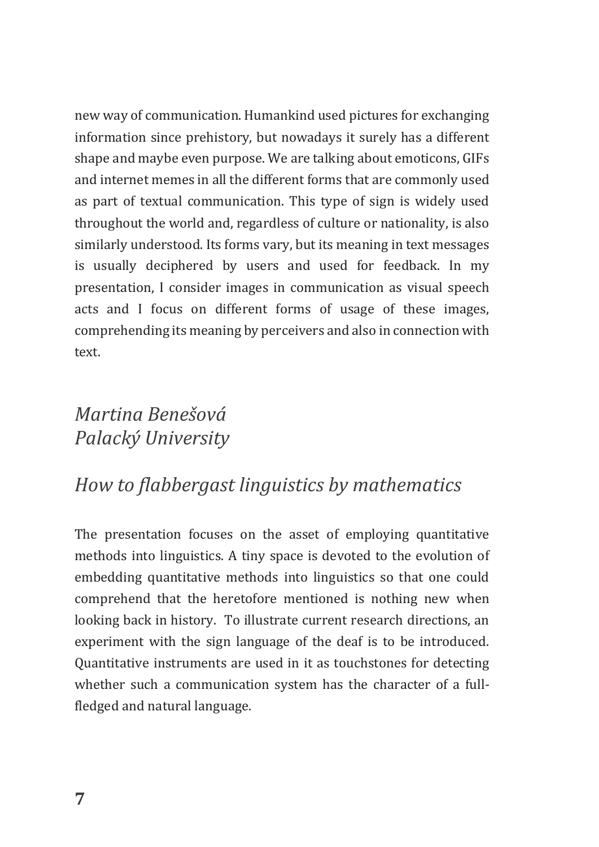new way of communication. Humankind used pictures for exchanging information since prehistory, but nowadays it surely has a different shape and maybe even purpose. We are talking about emoticons, GIFs and internet memes in all the different forms that are commonly used as part of textual communication. This type of sign is widely used throughout the world and, regardless of culture or nationality, is also similarly understood. Its forms vary, but its meaning in text messages is usually deciphered by users and used for feedback. In my presentation, I consider images in communication as visual speech acts and I focus on different forms of usage of these images, comprehending its meaning by perceivers and also in connection with text.

# *Martina Benešová Palacký University*

# *How to flabbergast linguistics by mathematics*

The presentation focuses on the asset of employing quantitative methods into linguistics. A tiny space is devoted to the evolution of embedding quantitative methods into linguistics so that one could comprehend that the heretofore mentioned is nothing new when looking back in history. To illustrate current research directions, an experiment with the sign language of the deaf is to be introduced. Quantitative instruments are used in it as touchstones for detecting whether such a communication system has the character of a fullfledged and natural language.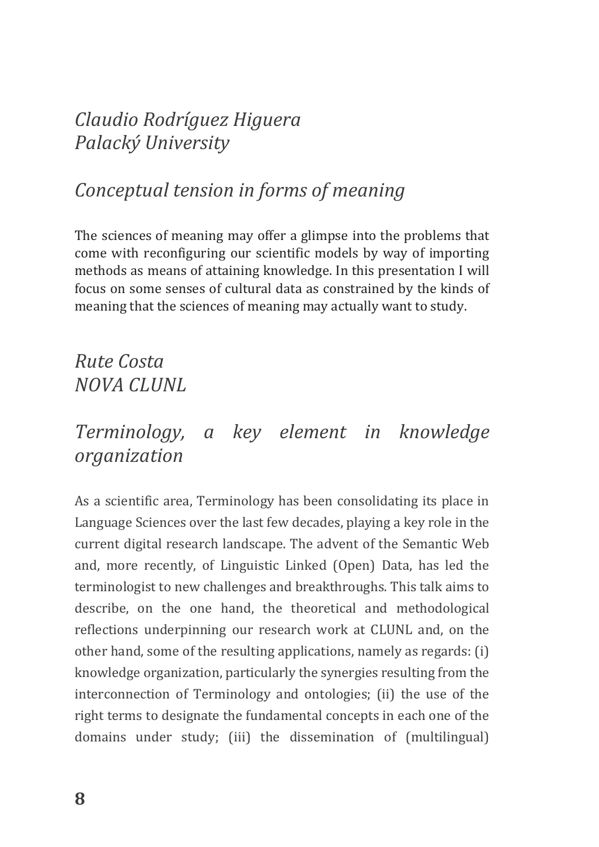# *Claudio Rodríguez Higuera Palacký University*

# *Conceptual tension in forms of meaning*

The sciences of meaning may offer a glimpse into the problems that come with reconfiguring our scientific models by way of importing methods as means of attaining knowledge. In this presentation I will focus on some senses of cultural data as constrained by the kinds of meaning that the sciences of meaning may actually want to study.

# *Rute Costa NOVA CLUNL*

### *Terminology, a key element in knowledge organization*

As a scientific area, Terminology has been consolidating its place in Language Sciences over the last few decades, playing a key role in the current digital research landscape. The advent of the Semantic Web and, more recently, of Linguistic Linked (Open) Data, has led the terminologist to new challenges and breakthroughs. This talk aims to describe, on the one hand, the theoretical and methodological reflections underpinning our research work at CLUNL and, on the other hand, some of the resulting applications, namely as regards: (i) knowledge organization, particularly the synergies resulting from the interconnection of Terminology and ontologies; (ii) the use of the right terms to designate the fundamental concepts in each one of the domains under study; (iii) the dissemination of (multilingual)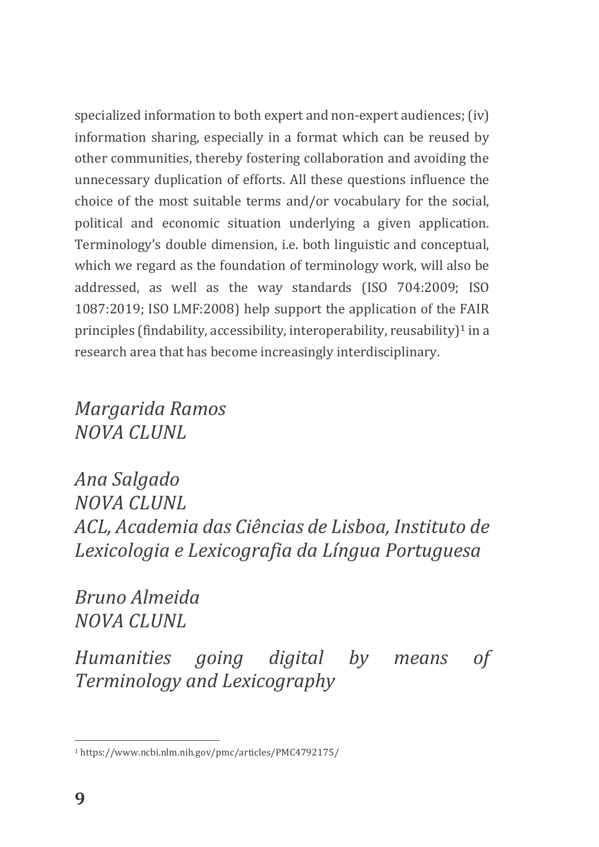specialized information to both expert and non-expert audiences; (iv) information sharing, especially in a format which can be reused by other communities, thereby fostering collaboration and avoiding the unnecessary duplication of efforts. All these questions influence the choice of the most suitable terms and/or vocabulary for the social, political and economic situation underlying a given application. Terminology's double dimension, i.e. both linguistic and conceptual, which we regard as the foundation of terminology work, will also be addressed, as well as the way standards (ISO 704:2009; ISO 1087:2019; ISO LMF:2008) help support the application of the FAIR principles (findability, accessibility, interoperability, reusability) $1$  in a research area that has become increasingly interdisciplinary.

*Margarida Ramos NOVA CLUNL*

*Ana Salgado NOVA CLUNL ACL, Academia das Ciências de Lisboa, Instituto de Lexicologia e Lexicografia da Língua Portuguesa*

*Bruno Almeida NOVA CLUNL*

*Humanities going digital by means of Terminology and Lexicography*

 $\overline{a}$ 

<sup>1</sup> https://www.ncbi.nlm.nih.gov/pmc/articles/PMC4792175/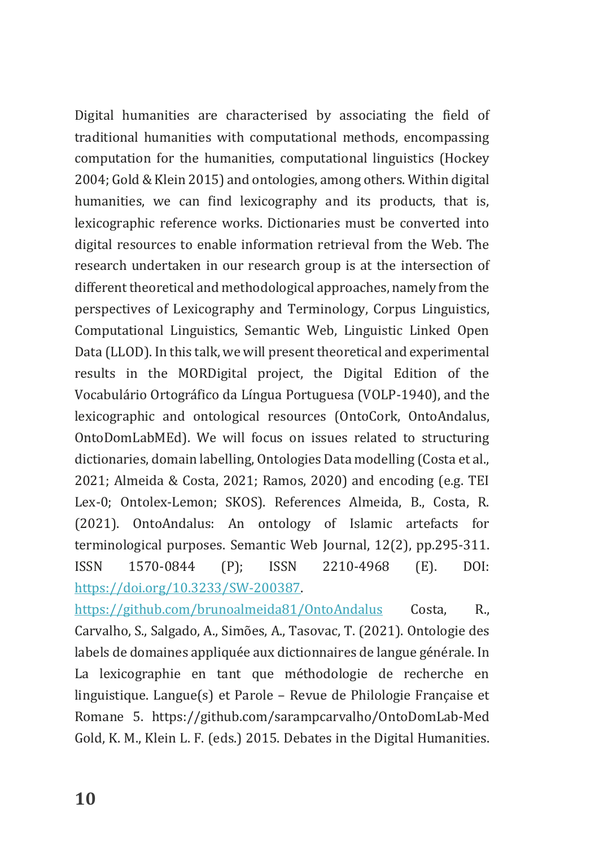Digital humanities are characterised by associating the field of traditional humanities with computational methods, encompassing computation for the humanities, computational linguistics (Hockey 2004; Gold & Klein 2015) and ontologies, among others. Within digital humanities, we can find lexicography and its products, that is, lexicographic reference works. Dictionaries must be converted into digital resources to enable information retrieval from the Web. The research undertaken in our research group is at the intersection of different theoretical and methodological approaches, namely from the perspectives of Lexicography and Terminology, Corpus Linguistics, Computational Linguistics, Semantic Web, Linguistic Linked Open Data (LLOD). In this talk, we will present theoretical and experimental results in the MORDigital project, the Digital Edition of the Vocabulário Ortográfico da Língua Portuguesa (VOLP-1940), and the lexicographic and ontological resources (OntoCork, OntoAndalus, OntoDomLabMEd). We will focus on issues related to structuring dictionaries, domain labelling, Ontologies Data modelling (Costa et al., 2021; Almeida & Costa, 2021; Ramos, 2020) and encoding (e.g. TEI Lex-0; Ontolex-Lemon; SKOS). References Almeida, B., Costa, R. (2021). OntoAndalus: An ontology of Islamic artefacts for terminological purposes. Semantic Web Journal, 12(2), pp.295-311. ISSN 1570-0844 (P); ISSN 2210-4968 (E). DOI: [https://doi.org/10.3233/SW-200387.](https://doi.org/10.3233/SW-200387)

<https://github.com/brunoalmeida81/OntoAndalus> Costa, R., Carvalho, S., Salgado, A., Simões, A., Tasovac, T. (2021). Ontologie des labels de domaines appliquée aux dictionnaires de langue générale. In La lexicographie en tant que méthodologie de recherche en linguistique. Langue(s) et Parole – Revue de Philologie Française et Romane 5. https://github.com/sarampcarvalho/OntoDomLab-Med Gold, K. M., Klein L. F. (eds.) 2015. Debates in the Digital Humanities.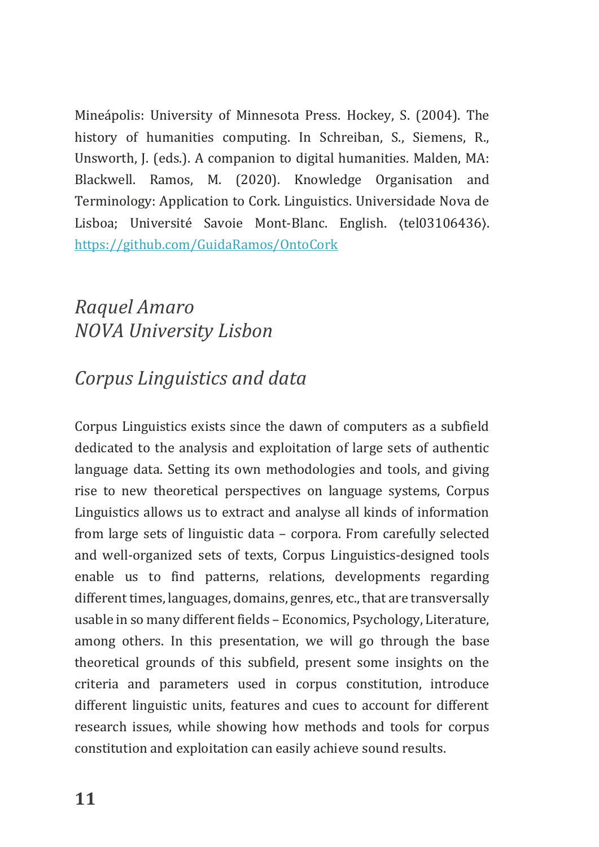Mineápolis: University of Minnesota Press. Hockey, S. (2004). The history of humanities computing. In Schreiban, S., Siemens, R., Unsworth, J. (eds.). A companion to digital humanities. Malden, MA: Blackwell. Ramos, M. (2020). Knowledge Organisation and Terminology: Application to Cork. Linguistics. Universidade Nova de Lisboa; Université Savoie Mont-Blanc. English. ⟨tel03106436⟩. <https://github.com/GuidaRamos/OntoCork>

# *Raquel Amaro NOVA University Lisbon*

# *Corpus Linguistics and data*

Corpus Linguistics exists since the dawn of computers as a subfield dedicated to the analysis and exploitation of large sets of authentic language data. Setting its own methodologies and tools, and giving rise to new theoretical perspectives on language systems, Corpus Linguistics allows us to extract and analyse all kinds of information from large sets of linguistic data – corpora. From carefully selected and well-organized sets of texts, Corpus Linguistics-designed tools enable us to find patterns, relations, developments regarding different times, languages, domains, genres, etc., that are transversally usable in so many different fields – Economics, Psychology, Literature, among others. In this presentation, we will go through the base theoretical grounds of this subfield, present some insights on the criteria and parameters used in corpus constitution, introduce different linguistic units, features and cues to account for different research issues, while showing how methods and tools for corpus constitution and exploitation can easily achieve sound results.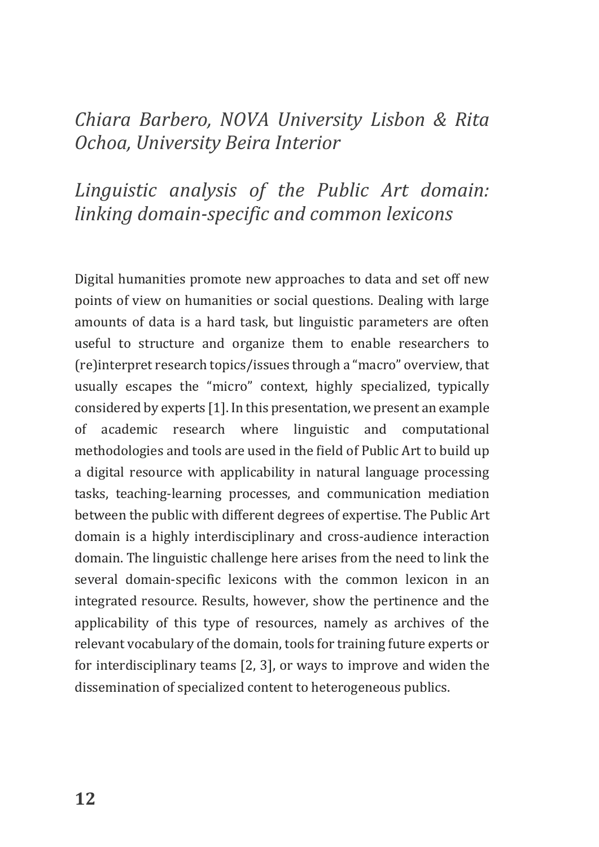### *Chiara Barbero, NOVA University Lisbon & Rita Ochoa, University Beira Interior*

# *Linguistic analysis of the Public Art domain: linking domain-specific and common lexicons*

Digital humanities promote new approaches to data and set off new points of view on humanities or social questions. Dealing with large amounts of data is a hard task, but linguistic parameters are often useful to structure and organize them to enable researchers to (re)interpret research topics/issues through a "macro" overview, that usually escapes the "micro" context, highly specialized, typically considered by experts [1]. In this presentation, we present an example of academic research where linguistic and computational methodologies and tools are used in the field of Public Art to build up a digital resource with applicability in natural language processing tasks, teaching-learning processes, and communication mediation between the public with different degrees of expertise. The Public Art domain is a highly interdisciplinary and cross-audience interaction domain. The linguistic challenge here arises from the need to link the several domain-specific lexicons with the common lexicon in an integrated resource. Results, however, show the pertinence and the applicability of this type of resources, namely as archives of the relevant vocabulary of the domain, tools for training future experts or for interdisciplinary teams [2, 3], or ways to improve and widen the dissemination of specialized content to heterogeneous publics.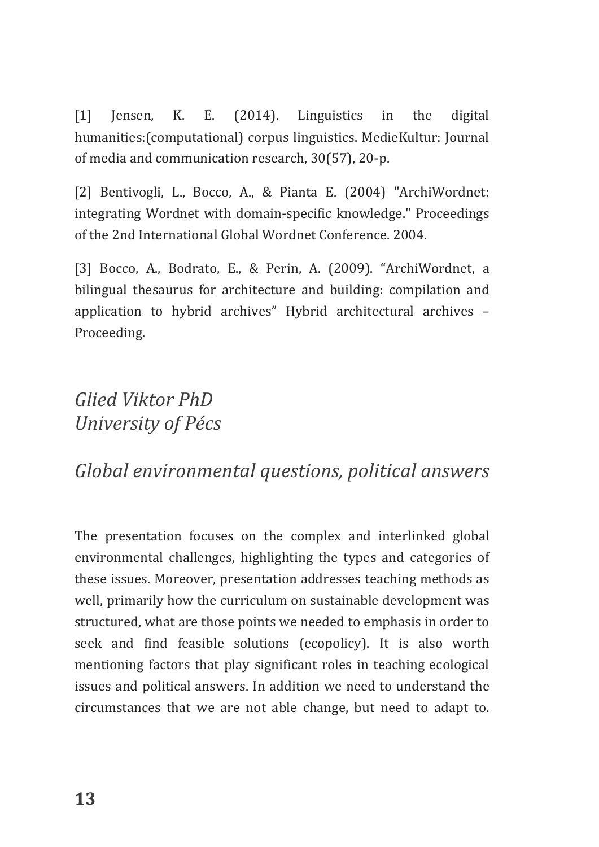[1] Jensen, K. E. (2014). Linguistics in the digital humanities:(computational) corpus linguistics. MedieKultur: Journal of media and communication research, 30(57), 20-p.

[2] Bentivogli, L., Bocco, A., & Pianta E. (2004) "ArchiWordnet: integrating Wordnet with domain-specific knowledge." Proceedings of the 2nd International Global Wordnet Conference. 2004.

[3] Bocco, A., Bodrato, E., & Perin, A. (2009). "ArchiWordnet, a bilingual thesaurus for architecture and building: compilation and application to hybrid archives" Hybrid architectural archives – Proceeding.

# *Glied Viktor PhD University of Pécs*

#### *Global environmental questions, political answers*

The presentation focuses on the complex and interlinked global environmental challenges, highlighting the types and categories of these issues. Moreover, presentation addresses teaching methods as well, primarily how the curriculum on sustainable development was structured, what are those points we needed to emphasis in order to seek and find feasible solutions (ecopolicy). It is also worth mentioning factors that play significant roles in teaching ecological issues and political answers. In addition we need to understand the circumstances that we are not able change, but need to adapt to.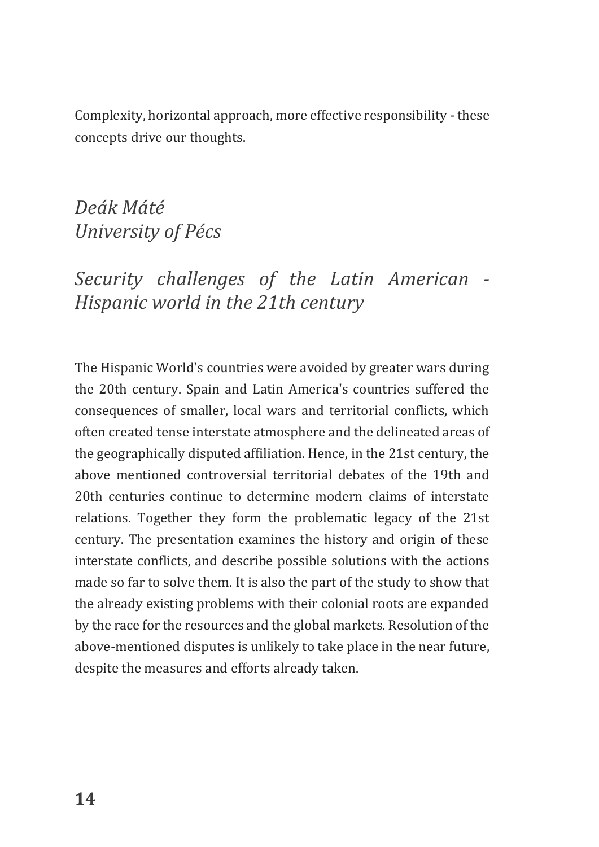Complexity, horizontal approach, more effective responsibility - these concepts drive our thoughts.

*Deák Máté University of Pécs*

# *Security challenges of the Latin American - Hispanic world in the 21th century*

The Hispanic World's countries were avoided by greater wars during the 20th century. Spain and Latin America's countries suffered the consequences of smaller, local wars and territorial conflicts, which often created tense interstate atmosphere and the delineated areas of the geographically disputed affiliation. Hence, in the 21st century, the above mentioned controversial territorial debates of the 19th and 20th centuries continue to determine modern claims of interstate relations. Together they form the problematic legacy of the 21st century. The presentation examines the history and origin of these interstate conflicts, and describe possible solutions with the actions made so far to solve them. It is also the part of the study to show that the already existing problems with their colonial roots are expanded by the race for the resources and the global markets. Resolution of the above-mentioned disputes is unlikely to take place in the near future, despite the measures and efforts already taken.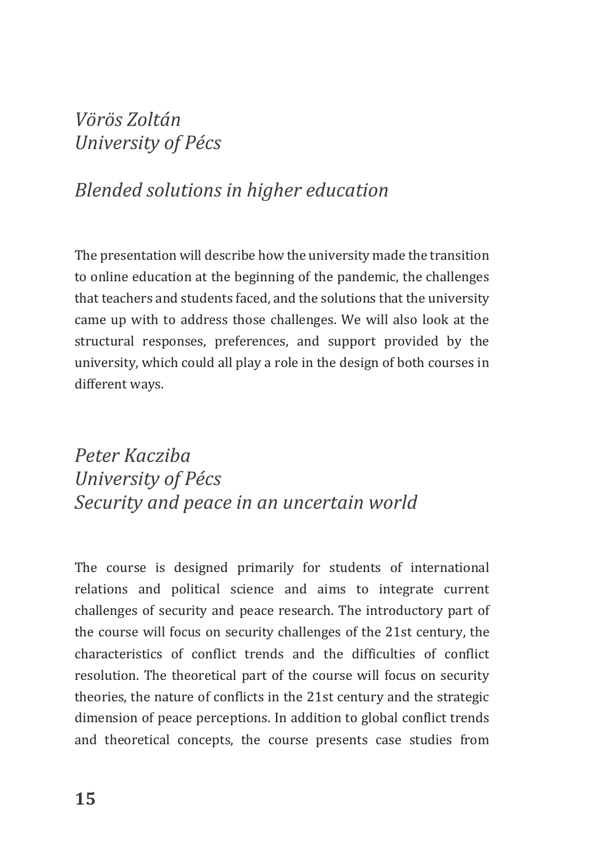### *Vörös Zoltán University of Pécs*

#### *Blended solutions in higher education*

The presentation will describe how the university made the transition to online education at the beginning of the pandemic, the challenges that teachers and students faced, and the solutions that the university came up with to address those challenges. We will also look at the structural responses, preferences, and support provided by the university, which could all play a role in the design of both courses in different ways.

# *Peter Kacziba University of Pécs Security and peace in an uncertain world*

The course is designed primarily for students of international relations and political science and aims to integrate current challenges of security and peace research. The introductory part of the course will focus on security challenges of the 21st century, the characteristics of conflict trends and the difficulties of conflict resolution. The theoretical part of the course will focus on security theories, the nature of conflicts in the 21st century and the strategic dimension of peace perceptions. In addition to global conflict trends and theoretical concepts, the course presents case studies from